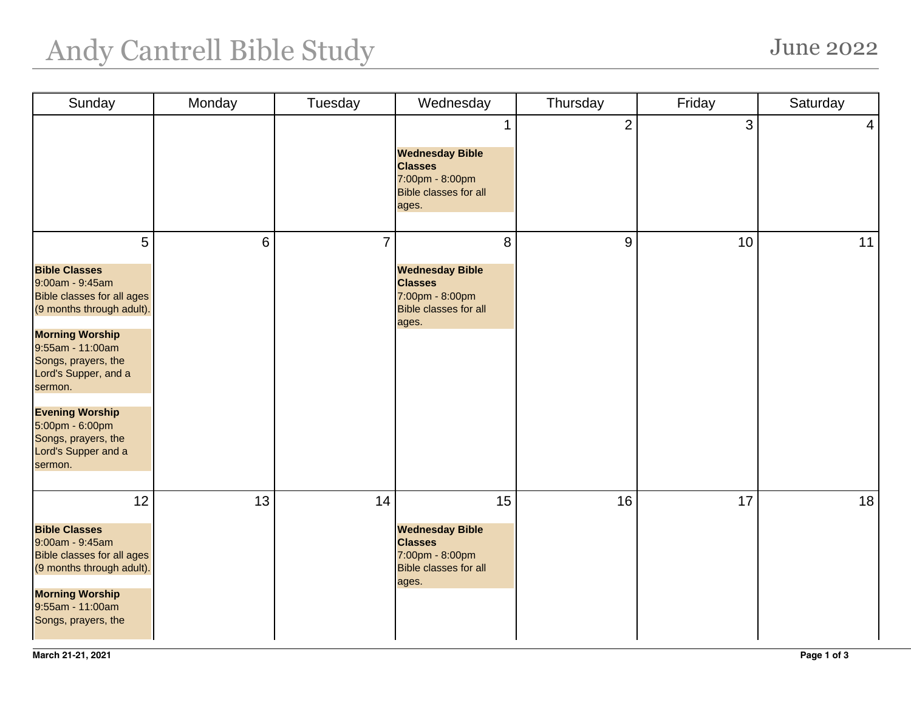## Andy Cantrell Bible Study June 2022

| Sunday                                                                                                                                                                                                                                                                                                                       | Monday | Tuesday        | Wednesday                                                                                                  | Thursday       | Friday | Saturday        |
|------------------------------------------------------------------------------------------------------------------------------------------------------------------------------------------------------------------------------------------------------------------------------------------------------------------------------|--------|----------------|------------------------------------------------------------------------------------------------------------|----------------|--------|-----------------|
|                                                                                                                                                                                                                                                                                                                              |        |                | <b>Wednesday Bible</b><br><b>Classes</b><br>7:00pm - 8:00pm<br><b>Bible classes for all</b><br>ages.       | $\overline{2}$ | 3      | $\vert 4 \vert$ |
| 5<br><b>Bible Classes</b><br>9:00am - 9:45am<br><b>Bible classes for all ages</b><br>(9 months through adult).<br><b>Morning Worship</b><br>9:55am - 11:00am<br>Songs, prayers, the<br>Lord's Supper, and a<br>sermon.<br><b>Evening Worship</b><br>5:00pm - 6:00pm<br>Songs, prayers, the<br>Lord's Supper and a<br>sermon. | 6      | $\overline{7}$ | 8<br><b>Wednesday Bible</b><br><b>Classes</b><br>7:00pm - 8:00pm<br><b>Bible classes for all</b><br>ages.  | 9              | 10     | 11              |
| 12<br><b>Bible Classes</b><br>9:00am - 9:45am<br><b>Bible classes for all ages</b><br>(9 months through adult).<br><b>Morning Worship</b><br>9:55am - 11:00am<br>Songs, prayers, the                                                                                                                                         | 13     | 14             | 15<br><b>Wednesday Bible</b><br><b>Classes</b><br>7:00pm - 8:00pm<br><b>Bible classes for all</b><br>ages. | 16             | 17     | 18              |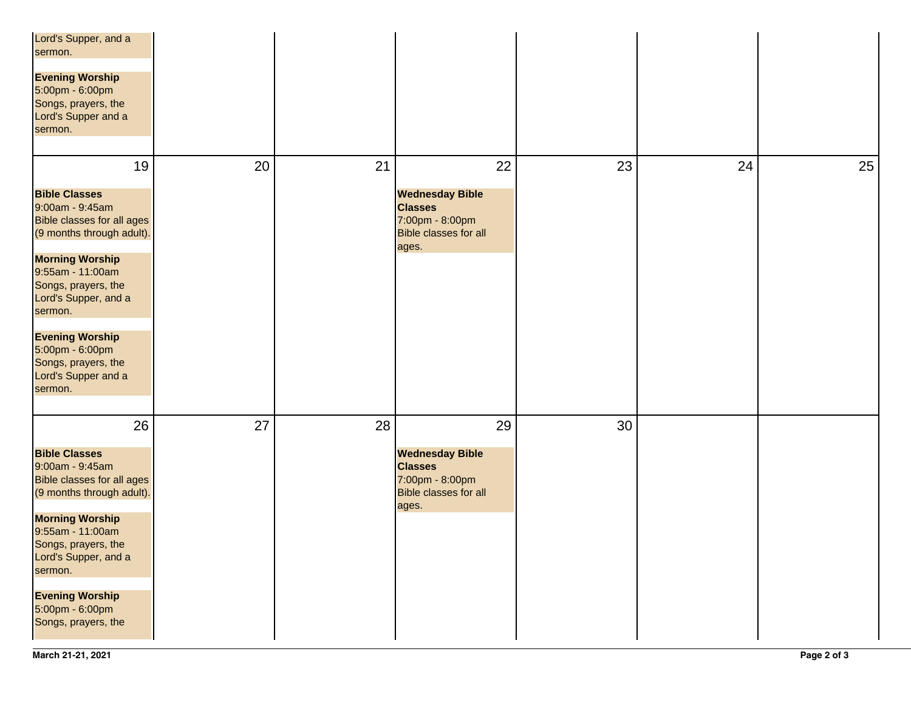| Lord's Supper, and a<br>sermon.<br><b>Evening Worship</b><br>5:00pm - 6:00pm<br>Songs, prayers, the<br>Lord's Supper and a<br>sermon.                                                                                                                                                                                         |    |    |                                                                                                            |    |    |    |
|-------------------------------------------------------------------------------------------------------------------------------------------------------------------------------------------------------------------------------------------------------------------------------------------------------------------------------|----|----|------------------------------------------------------------------------------------------------------------|----|----|----|
| 19<br><b>Bible Classes</b><br>9:00am - 9:45am<br><b>Bible classes for all ages</b><br>(9 months through adult).<br><b>Morning Worship</b><br>9:55am - 11:00am<br>Songs, prayers, the<br>Lord's Supper, and a<br>sermon.<br><b>Evening Worship</b><br>5:00pm - 6:00pm<br>Songs, prayers, the<br>Lord's Supper and a<br>sermon. | 20 | 21 | 22<br><b>Wednesday Bible</b><br><b>Classes</b><br>7:00pm - 8:00pm<br><b>Bible classes for all</b><br>ages. | 23 | 24 | 25 |
| 26<br><b>Bible Classes</b><br>9:00am - 9:45am<br><b>Bible classes for all ages</b><br>(9 months through adult).<br><b>Morning Worship</b><br>9:55am - 11:00am<br>Songs, prayers, the<br>Lord's Supper, and a<br>sermon.<br><b>Evening Worship</b><br>5:00pm - 6:00pm<br>Songs, prayers, the                                   | 27 | 28 | 29<br><b>Wednesday Bible</b><br><b>Classes</b><br>7:00pm - 8:00pm<br><b>Bible classes for all</b><br>ages. | 30 |    |    |